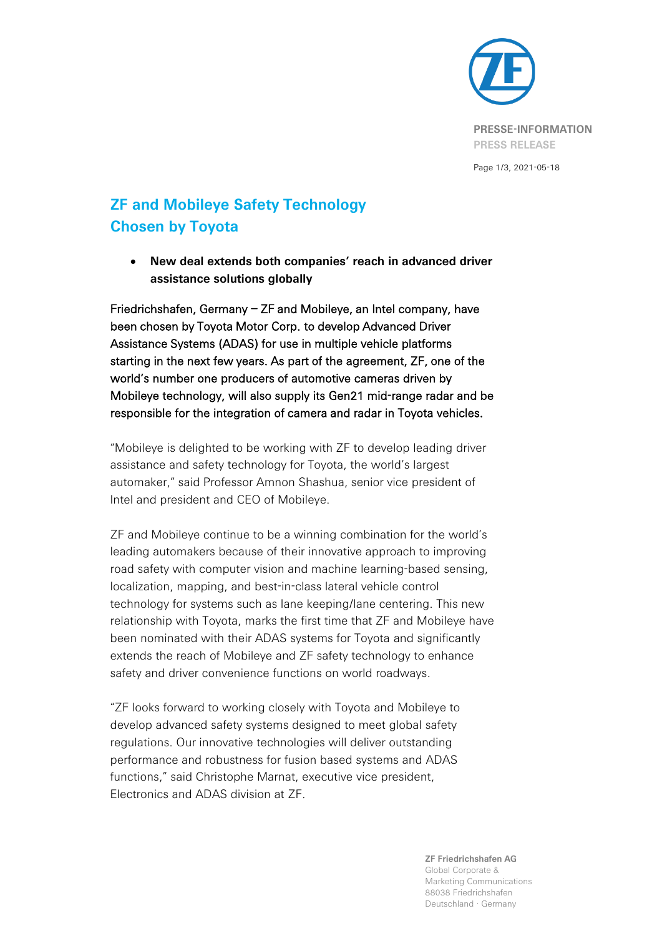

Page 1/3, 2021-05-18

## **ZF and Mobileye Safety Technology Chosen by Toyota**

• **New deal extends both companies' reach in advanced driver assistance solutions globally**

Friedrichshafen, Germany – ZF and Mobileye, an Intel company, have been chosen by Toyota Motor Corp. to develop Advanced Driver Assistance Systems (ADAS) for use in multiple vehicle platforms starting in the next few years. As part of the agreement, ZF, one of the world's number one producers of automotive cameras driven by Mobileye technology, will also supply its Gen21 mid-range radar and be responsible for the integration of camera and radar in Toyota vehicles.

"Mobileye is delighted to be working with ZF to develop leading driver assistance and safety technology for Toyota, the world's largest automaker," said Professor Amnon Shashua, senior vice president of Intel and president and CEO of Mobileye.

ZF and Mobileye continue to be a winning combination for the world's leading automakers because of their innovative approach to improving road safety with computer vision and machine learning-based sensing, localization, mapping, and best-in-class lateral vehicle control technology for systems such as lane keeping/lane centering. This new relationship with Toyota, marks the first time that ZF and Mobileye have been nominated with their ADAS systems for Toyota and significantly extends the reach of Mobileye and ZF safety technology to enhance safety and driver convenience functions on world roadways.

"ZF looks forward to working closely with Toyota and Mobileye to develop advanced safety systems designed to meet global safety regulations. Our innovative technologies will deliver outstanding performance and robustness for fusion based systems and ADAS functions," said Christophe Marnat, executive vice president, Electronics and ADAS division at ZF.

**ZF Friedrichshafen AG**

Global Corporate & Marketing Communications 88038 Friedrichshafen Deutschland · Germany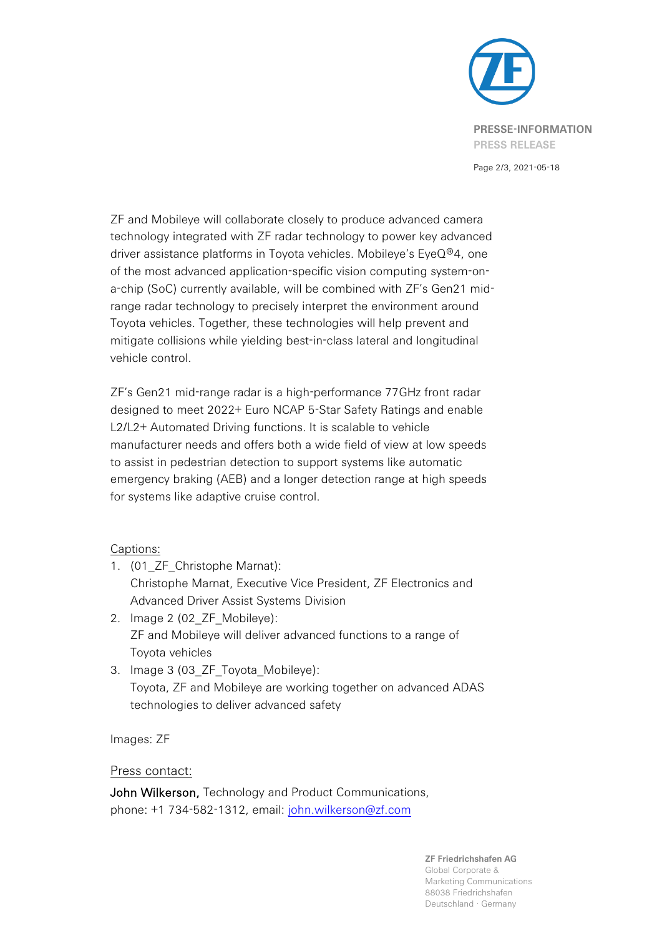

Page 2/3, 2021-05-18

ZF and Mobileye will collaborate closely to produce advanced camera technology integrated with ZF radar technology to power key advanced driver assistance platforms in Toyota vehicles. Mobileye's EyeQ®4, one of the most advanced application-specific vision computing system-ona-chip (SoC) currently available, will be combined with ZF's Gen21 midrange radar technology to precisely interpret the environment around Toyota vehicles. Together, these technologies will help prevent and mitigate collisions while yielding best-in-class lateral and longitudinal vehicle control.

ZF's Gen21 mid-range radar is a high-performance 77GHz front radar designed to meet 2022+ Euro NCAP 5-Star Safety Ratings and enable L2/L2+ Automated Driving functions. It is scalable to vehicle manufacturer needs and offers both a wide field of view at low speeds to assist in pedestrian detection to support systems like automatic emergency braking (AEB) and a longer detection range at high speeds for systems like adaptive cruise control.

## Captions:

- 1. (01\_ZF\_Christophe Marnat): Christophe Marnat, Executive Vice President, ZF Electronics and Advanced Driver Assist Systems Division
- 2. Image 2 (02\_ZF\_Mobileye): ZF and Mobileye will deliver advanced functions to a range of Toyota vehicles
- 3. Image 3 (03\_ZF\_Toyota\_Mobileye): Toyota, ZF and Mobileye are working together on advanced ADAS technologies to deliver advanced safety

Images: ZF

## Press contact:

John Wilkerson, Technology and Product Communications, phone: +1 734-582-1312, email: [john.wilkerson@zf.com](mailto:corina.tews@zf.com)

> **ZF Friedrichshafen AG** Global Corporate & Marketing Communications 88038 Friedrichshafen Deutschland · Germany